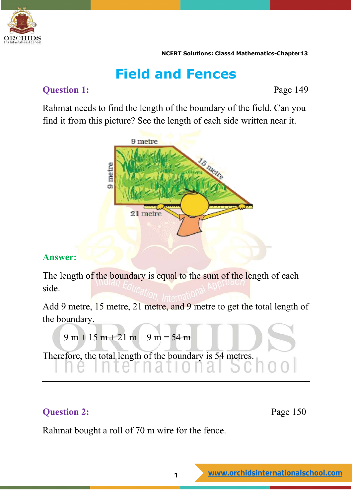

## **Field and Fences**

### **Question 1:** Page 149

Rahmat needs to find the length of the boundary of the field. Can you find it from this picture? See the length of each side written near it.



### **Answer:**

The length of the boundary is equal to the sum of the length of each side.

Add 9 metre, 15 metre, 21 metre, and 9 metre to get the total length of the boundary.

```
9 m + 15 m + 21 m + 9 m = 54 m
```
Therefore, the total length of the boundary is 54 metres.

### **Question 2:** Page 150

Rahmat bought a roll of 70 m wire for the fence.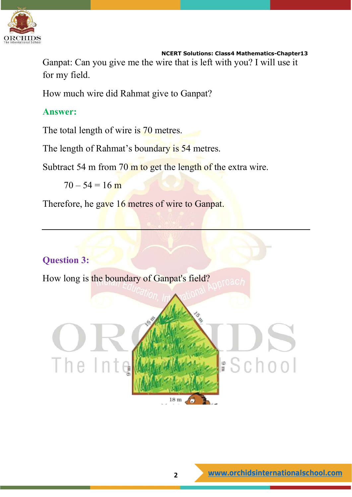

Ganpat: Can you give me the wire that is left with you? I will use it for my field.

How much wire did Rahmat give to Ganpat?

### **Answer:**

The total length of wire is 70 metres.

The length of Rahmat's boundary is 54 metres.

Subtract 54 m from 70 m to get the length of the extra wire.

 $70 - 54 = 16$  m

Therefore, he gave 16 metres of wire to Ganpat.

### **Question 3:**

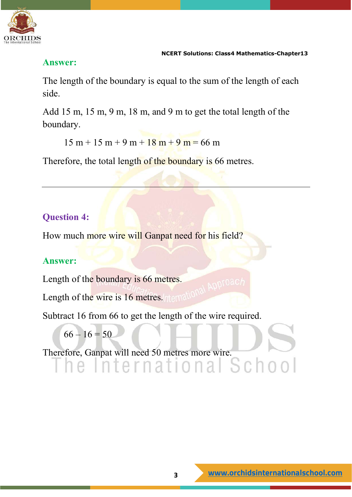

### **Answer:**

The length of the boundary is equal to the sum of the length of each side.

Add 15 m, 15 m, 9 m, 18 m, and 9 m to get the total length of the boundary.

 $15 m + 15 m + 9 m + 18 m + 9 m = 66 m$ 

Therefore, the total length of the boundary is 66 metres.

## **Question 4:**

How much more wire will Ganpat need for his field?

### **Answer:**

Length of the boundary is 66 metres.

Length of the wire is 16 metres. Thema

Subtract 16 from 66 to get the length of the wire required.

$$
66-16=50
$$

Therefore, Ganpat will need 50 metres more wire.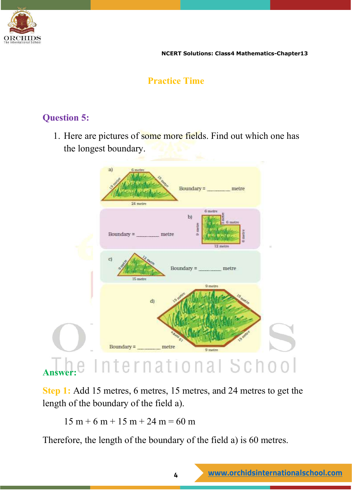

### **Practice Time**

### **Question 5:**

1. Here are pictures of some more fields. Find out which one has the longest boundary.



**Step 1:** Add 15 metres, 6 metres, 15 metres, and 24 metres to get the length of the boundary of the field a).

 $15 m + 6 m + 15 m + 24 m = 60 m$ 

Therefore, the length of the boundary of the field a) is 60 metres.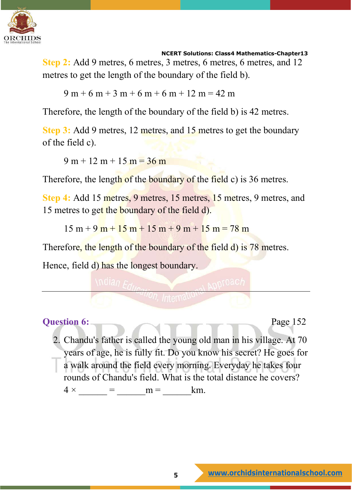

**Step 2:** Add 9 metres, 6 metres, 3 metres, 6 metres, 6 metres, and 12 metres to get the length of the boundary of the field b).

 $9 m + 6 m + 3 m + 6 m + 6 m + 12 m = 42 m$ 

Therefore, the length of the boundary of the field b) is 42 metres.

**Step 3:** Add 9 metres, 12 metres, and 15 metres to get the boundary of the field c).

 $9 m + 12 m + 15 m = 36 m$ 

Therefore, the length of the boundary of the field c) is 36 metres.

**Step 4:** Add 15 metres, 9 metres, 15 metres, 15 metres, 9 metres, and 15 metres to get the boundary of the field d).

 $15 m + 9 m + 15 m + 15 m + 9 m + 15 m = 78 m$ 

Therefore, the length of the boundary of the field d) is 78 metres.

Hence, field d) has the longest boundary.

**Question 6:** Page 152

2. Chandu's father is called the young old man in his village. At 70 years of age, he is fully fit. Do you know his secret? He goes for a walk around the field every morning. Everyday he takes four rounds of Chandu's field. What is the total distance he covers?  $4 \times$  =  $m =$  km.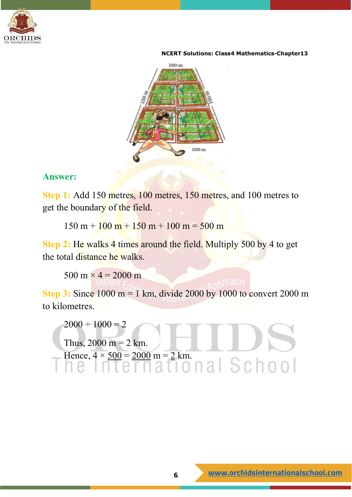



### **Answer:**

**Step 1:** Add 150 metres, 100 metres, 150 metres, and 100 metres to get the boundary of the field.

 $150 \text{ m} + 100 \text{ m} + 150 \text{ m} + 100 \text{ m} = 500 \text{ m}$ 

**Step 2:** He walks 4 times around the field. Multiply 500 by 4 to get the total distance he walks.

500 m  $\times$  4 = 2000 m

**Step 3:** Since 1000 m = 1 km, divide 2000 by 1000 to convert 2000 m to kilometres.

 $2000 \div 1000 = 2$ Thus,  $2000 \text{ m} = 2 \text{ km}$ . Hence, 4 × 500 = 2000 m = 2 km.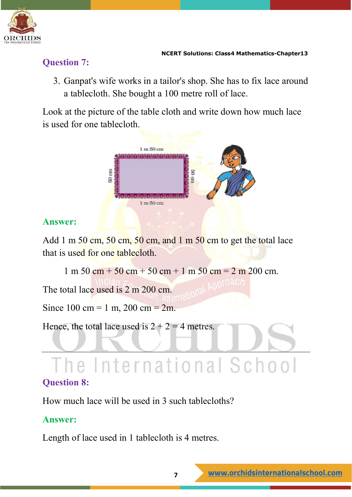

### **Question 7:**

3. Ganpat's wife works in a tailor's shop. She has to fix lace around a tablecloth. She bought a 100 metre roll of lace.

Look at the picture of the table cloth and write down how much lace is used for one tablecloth.



### **Answer:**

Add 1 m 50 cm, 50 cm, 50 cm, and 1 m 50 cm to get the total lace that is used for one tablecloth.

 $1 m 50 cm + 50 cm + 50 cm + 1 m 50 cm = 2 m 200 cm$ .

The total lace used is 2 m 200 cm.

Since  $100 \text{ cm} = 1 \text{ m}, 200 \text{ cm} = 2 \text{ m}.$ 

Hence, the total lace used is  $2 + 2 = 4$  metres.

# The International School

### **Question 8:**

How much lace will be used in 3 such tablecloths?

### **Answer:**

Length of lace used in 1 tablecloth is 4 metres.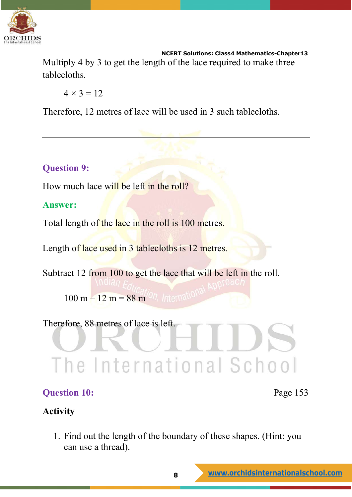

 **NCERT Solutions: Class4 Mathematics-Chapter13** Multiply 4 by 3 to get the length of the lace required to make three tablecloths.

 $4 \times 3 = 12$ 

Therefore, 12 metres of lace will be used in 3 such tablecloths.

### **Question 9:**

How much lace will be left in the roll?

### **Answer:**

Total length of the lace in the roll is 100 metres.

Length of lace used in 3 tablecloths is 12 metres.

Subtract 12 from 100 to get the lace that will be left in the roll.

 $100 \text{ m} - 12 \text{ m} = 88 \text{ m}^{0/7}$ , International

Therefore, 88 metres of lace is left.

# The International School

### **Question 10:** Page 153

### **Activity**

1. Find out the length of the boundary of these shapes. (Hint: you can use a thread).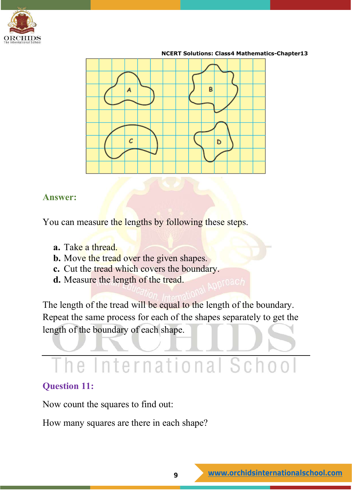



### **Answer:**

You can measure the lengths by following these steps.

- **a.** Take a thread.
- **b.** Move the tread over the given shapes.
- **c.** Cut the tread which covers the boundary.
- **d.** Measure the length of the tread.

The length of the tread will be equal to the length of the boundary. Repeat the same process for each of the shapes separately to get the length of the boundary of each shape.

# he International School

### **Question 11:**

Now count the squares to find out:

How many squares are there in each shape?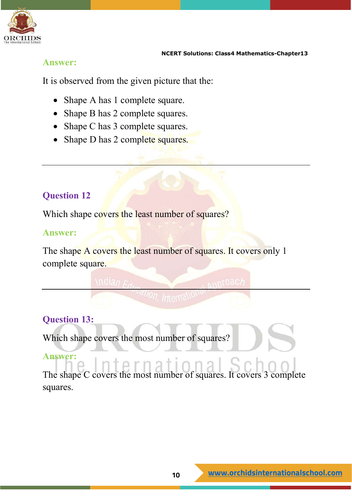

### **Answer:**

It is observed from the given picture that the:

- Shape A has 1 complete square.
- Shape B has 2 complete squares.
- Shape C has 3 complete squares.
- Shape D has 2 complete squares.

### **Question 12**

Which shape covers the least number of squares?

### **Answer:**

The shape A covers the least number of squares. It covers only 1 complete square.

### **Question 13:**

Which shape covers the most number of squares?

### **Answer:**

The shape C covers the most number of squares. It covers 3 complete squares.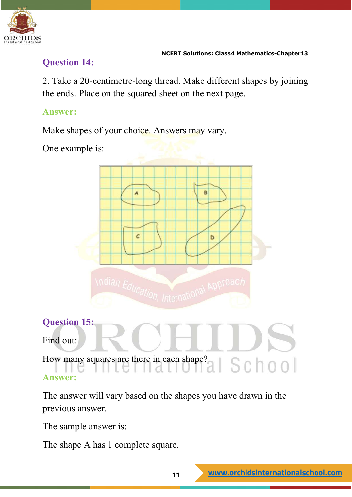

### **Question 14:**

2. Take a 20-centimetre-long thread. Make different shapes by joining the ends. Place on the squared sheet on the next page.

### **Answer:**

Make shapes of your choice. Answers may vary.

One example is:



## **Question 15:**  Find out: How many squares are there in each shape?<br>
SCO00 **Answer:**

The answer will vary based on the shapes you have drawn in the previous answer.

The sample answer is:

The shape A has 1 complete square.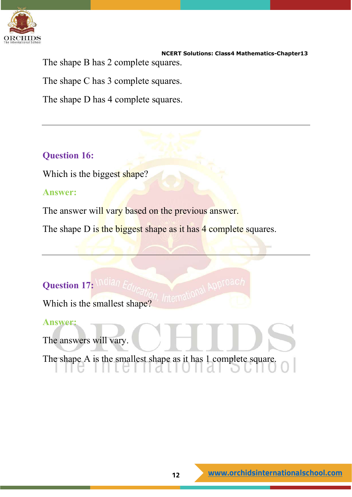

 **NCERT Solutions: Class4 Mathematics-Chapter13** The shape B has 2 complete squares.

The shape C has 3 complete squares.

The shape D has 4 complete squares.

### **Question 16:**

Which is the biggest shape?

### **Answer:**

The answer will vary based on the previous answer.

The shape D is the biggest shape as it has 4 complete squares.

International Approac

### **Question 17: Malan E**

Which is the smallest shape?

### **Answer:**

The answers will vary.

The shape A is the smallest shape as it has 1 complete square.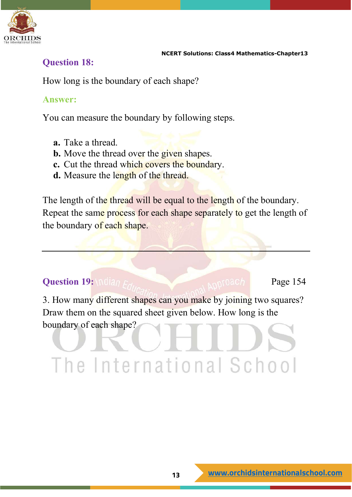

### **Question 18:**

How long is the boundary of each shape?

### **Answer:**

You can measure the boundary by following steps.

- **a.** Take a thread.
- **b.** Move the thread over the given shapes.
- **c.** Cut the thread which covers the boundary.
- **d.** Measure the length of the thread.

The length of the thread will be equal to the length of the boundary. Repeat the same process for each shape separately to get the length of the boundary of each shape.

### **Question 19:** \ndian Ed. **All Constanting Constanting Page 154**

3. How many different shapes can you make by joining two squares? Draw them on the squared sheet given below. How long is the boundary of each shape?

# The International School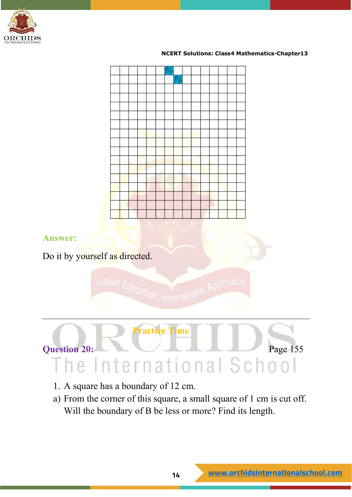



Do it by yourself as directed.

**Answer:**





- 1. A square has a boundary of 12 cm.
- a) From the corner of this square, a small square of 1 cm is cut off. Will the boundary of B be less or more? Find its length.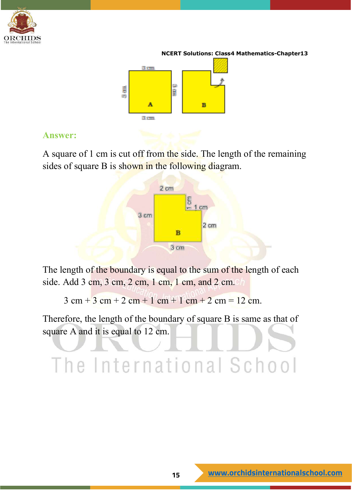



### **Answer:**

A square of 1 cm is cut off from the side. The length of the remaining sides of square B is shown in the following diagram.



The length of the boundary is equal to the sum of the length of each side. Add 3 cm, 3 cm, 2 cm, 1 cm, 1 cm, and 2 cm.

 $3 \text{ cm} + 3 \text{ cm} + 2 \text{ cm} + 1 \text{ cm} + 1 \text{ cm} + 2 \text{ cm} = 12 \text{ cm}.$ 

Therefore, the length of the boundary of square B is same as that of square A and it is equal to 12 cm.

# The International School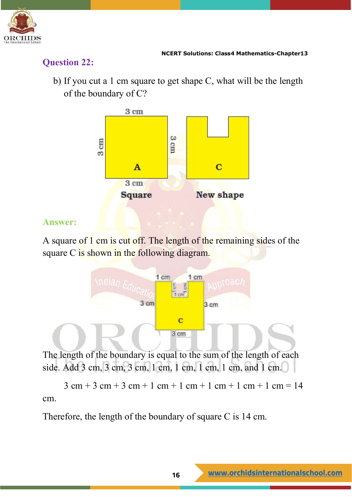

### **Question 22:**

b) If you cut a 1 cm square to get shape C, what will be the length of the boundary of C?



### **Answer:**

A square of 1 cm is cut off. The length of the remaining sides of the square C is shown in the following diagram.



The length of the boundary is equal to the sum of the length of each side. Add 3 cm, 3 cm, 3 cm, 1 cm, 1 cm, 1 cm, 1 cm, and 1 cm.

 $3 \text{ cm} + 3 \text{ cm} + 3 \text{ cm} + 1 \text{ cm} + 1 \text{ cm} + 1 \text{ cm} + 1 \text{ cm} = 14$ cm.

Therefore, the length of the boundary of square C is 14 cm.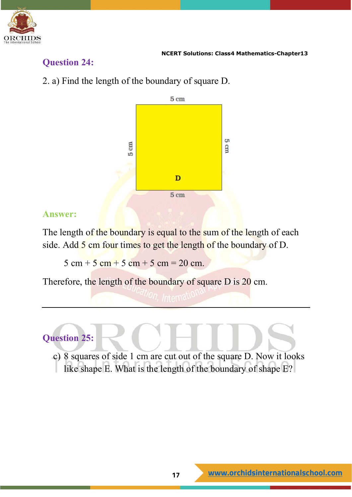

### **Question 24:**

2. a) Find the length of the boundary of square D.



### **Answer:**

The length of the boundary is equal to the sum of the length of each side. Add 5 cm four times to get the length of the boundary of D.

 $5 \text{ cm} + 5 \text{ cm} + 5 \text{ cm} + 5 \text{ cm} = 20 \text{ cm}.$ 

Therefore, the length of the boundary of square D is 20 cm.

### **Question 25:**

c) 8 squares of side 1 cm are cut out of the square D. Now it looks like shape E. What is the length of the boundary of shape E?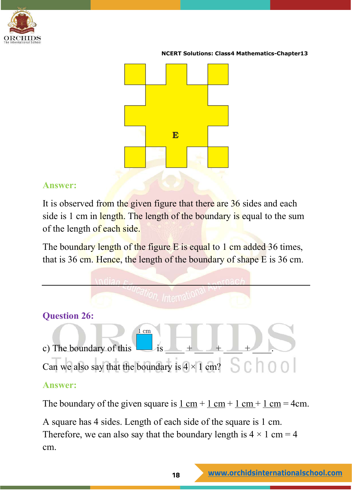



### **Answer:**

It is observed from the given figure that there are 36 sides and each side is 1 cm in length. The length of the boundary is equal to the sum of the length of each side.

The boundary length of the figure E is equal to 1 cm added 36 times, that is 36 cm. Hence, the length of the boundary of shape  $\overline{E}$  is 36 cm.



A square has 4 sides. Length of each side of the square is 1 cm. Therefore, we can also say that the boundary length is  $4 \times 1$  cm = 4 cm.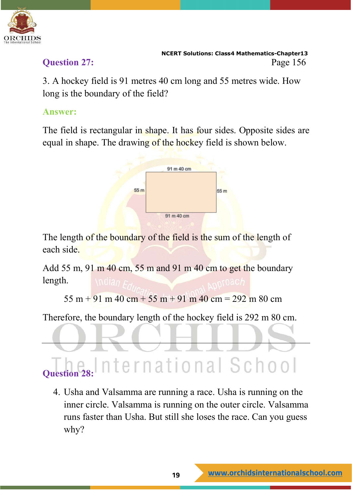

3. A hockey field is 91 metres 40 cm long and 55 metres wide. How long is the boundary of the field?

### **Answer:**

The field is rectangular in shape. It has four sides. Opposite sides are equal in shape. The drawing of the hockey field is shown below.



The length of the boundary of the field is the sum of the length of each side.

Add 55 m, 91 m 40 cm, 55 m and 91 m 40 cm to get the boundary length.

 $55 \text{ m} + 91 \text{ m} + 40 \text{ cm} + 55 \text{ m} + 91 \text{ m} + 40 \text{ cm} = 292 \text{ m} + 80 \text{ cm}$ 

Therefore, the boundary length of the hockey field is 292 m 80 cm.

### nternational School **Question 28:**

4. Usha and Valsamma are running a race. Usha is running on the inner circle. Valsamma is running on the outer circle. Valsamma runs faster than Usha. But still she loses the race. Can you guess why?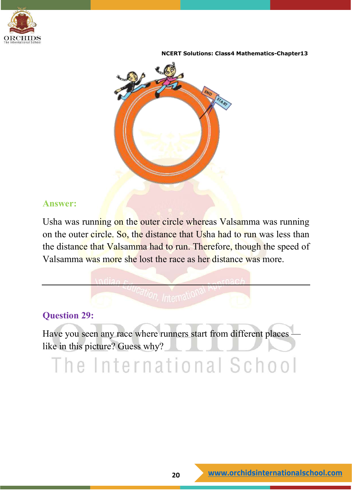



### **Answer:**

Usha was running on the outer circle whereas Valsamma was running on the outer circle. So, the distance that Usha had to run was less than the distance that Valsamma had to run. Therefore, though the speed of Valsamma was more she lost the race as her distance was more.

### **Question 29:**

Have you seen any race where runners start from different places like in this picture? Guess why?

# The International School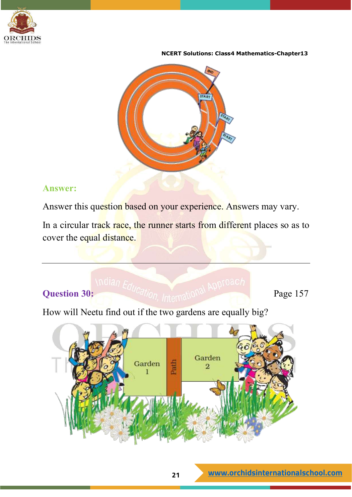



### **Answer:**

Answer this question based on your experience. Answers may vary.

In a circular track race, the runner starts from different places so as to cover the equal distance.

# **Question 30:** Indian Education, International Approach Page 157

How will Neetu find out if the two gardens are equally big?

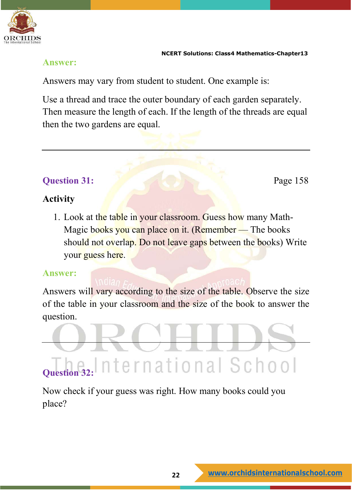

### **Answer:**

Answers may vary from student to student. One example is:

Use a thread and trace the outer boundary of each garden separately. Then measure the length of each. If the length of the threads are equal then the two gardens are equal.

### **Question 31:** Page 158

### **Activity**

1. Look at the table in your classroom. Guess how many Math-Magic books you can place on it. (Remember – The books should not overlap. Do not leave gaps between the books) Write your guess here.

### **Answer:**

Answers will vary according to the size of the table. Observe the size of the table in your classroom and the size of the book to answer the question.

# **Question** 32: International School

Now check if your guess was right. How many books could you place?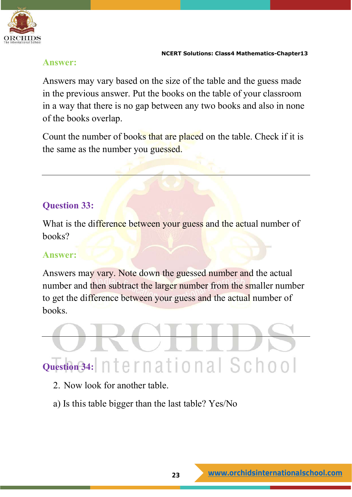

### **Answer:**

Answers may vary based on the size of the table and the guess made in the previous answer. Put the books on the table of your classroom in a way that there is no gap between any two books and also in none of the books overlap.

Count the number of books that are placed on the table. Check if it is the same as the number you guessed.

### **Question 33:**

What is the difference between your guess and the actual number of books?

### **Answer:**

Answers may vary. Note down the guessed number and the actual number and then subtract the larger number from the smaller number to get the difference between your guess and the actual number of books.

# **Question 34:**

- 2. Now look for another table.
- a) Is this table bigger than the last table? Yes/No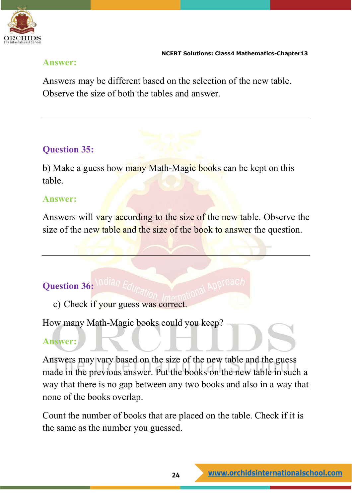

### **Answer:**

Answers may be different based on the selection of the new table. Observe the size of both the tables and answer.

### **Question 35:**

b) Make a guess how many Math-Magic books can be kept on this table.

### **Answer:**

Answers will vary according to the size of the new table. Observe the size of the new table and the size of the book to answer the question.

### **Question 36:**

c) Check if your guess was correct.

How many Math-Magic books could you keep?

### **Answer:**

Answers may vary based on the size of the new table and the guess made in the previous answer. Put the books on the new table in such a way that there is no gap between any two books and also in a way that none of the books overlap.

Count the number of books that are placed on the table. Check if it is the same as the number you guessed.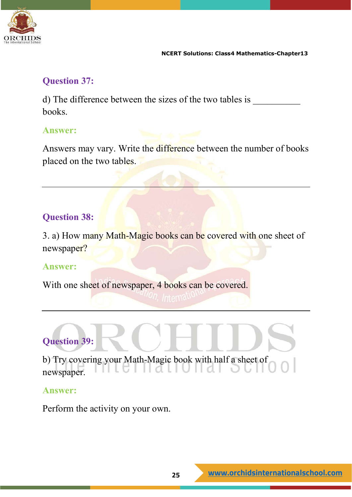

### **Question 37:**

d) The difference between the sizes of the two tables is books.

### **Answer:**

Answers may vary. Write the difference between the number of books placed on the two tables.

### **Question 38:**

3. a) How many Math-Magic books can be covered with one sheet of newspaper?

### **Answer:**

With one sheet of newspaper, 4 books can be covered.

## **Question 39:**

b) Try covering your Math-Magic book with half a sheet of 5 I II A L I newspaper.

### **Answer:**

Perform the activity on your own.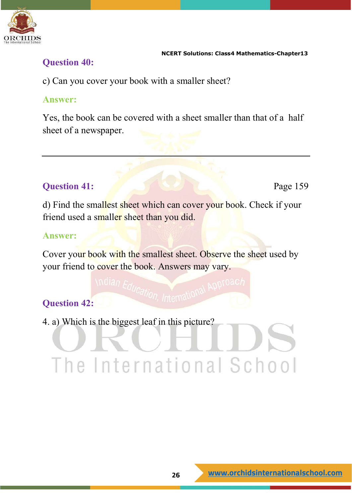

### **Question 40:**

c) Can you cover your book with a smaller sheet?

### **Answer:**

Yes, the book can be covered with a sheet smaller than that of a half sheet of a newspaper.

### **Question 41:** Page 159

d) Find the smallest sheet which can cover your book. Check if your friend used a smaller sheet than you did.

### **Answer:**

Cover your book with the smallest sheet. Observe the sheet used by your friend to cover the book. Answers may vary.

### **Question 42:**

4. a) Which is the biggest leaf in this picture?

# The International School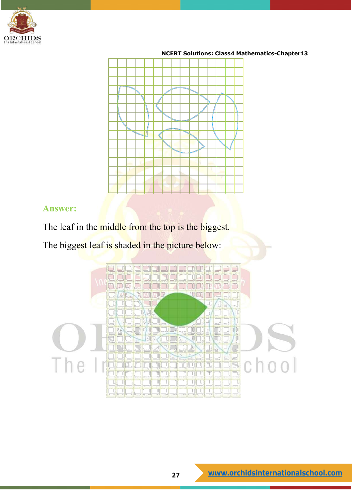



### **Answer:**

The leaf in the middle from the top is the biggest.

The biggest leaf is shaded in the picture below:

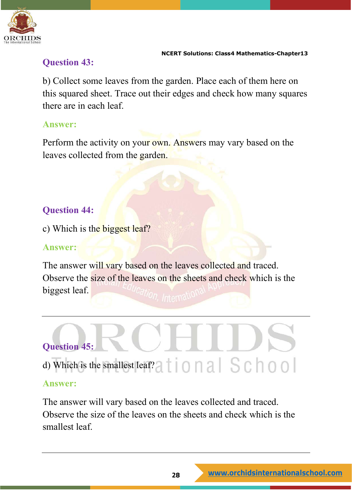

### **Question 43:**

b) Collect some leaves from the garden. Place each of them here on this squared sheet. Trace out their edges and check how many squares there are in each leaf.

### **Answer:**

Perform the activity on your own. Answers may vary based on the leaves collected from the garden.

### **Question 44:**

c) Which is the biggest leaf?

### **Answer:**

The answer will vary based on the leaves collected and traced. Observe the size of the leaves on the sheets and check which is the biggest leaf.

# **Question 45:** d) Which is the smallest leaf?<br>a  $\uparrow$  | 0 | 2 | S C | 0 0 |

### **Answer:**

The answer will vary based on the leaves collected and traced. Observe the size of the leaves on the sheets and check which is the smallest leaf.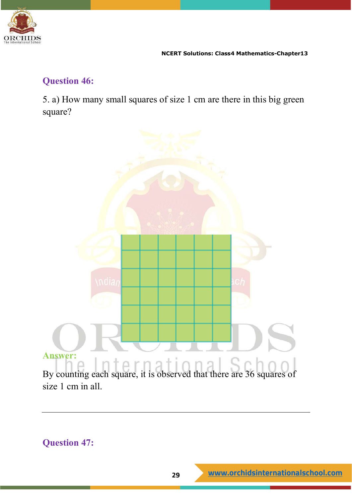

### **Question 46:**

5. a) How many small squares of size 1 cm are there in this big green square?



### **Question 47:**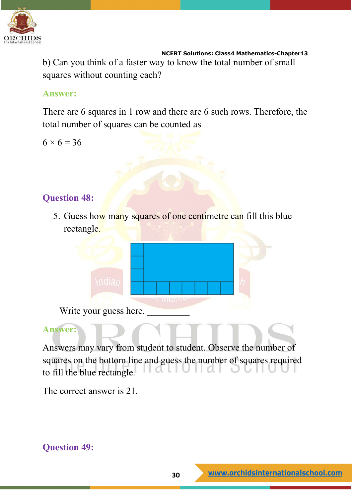

 **NCERT Solutions: Class4 Mathematics-Chapter13** b) Can you think of a faster way to know the total number of small squares without counting each?

### **Answer:**

There are 6 squares in 1 row and there are 6 such rows. Therefore, the total number of squares can be counted as

 $6 \times 6 = 36$ 

### **Question 48:**

5. Guess how many squares of one centimetre can fill this blue rectangle.



Write your guess here.

### **Answer:**

Answers may vary from student to student. Observe the number of squares on the bottom line and guess the number of squares required to fill the blue rectangle.

The correct answer is 21.

### **Question 49:**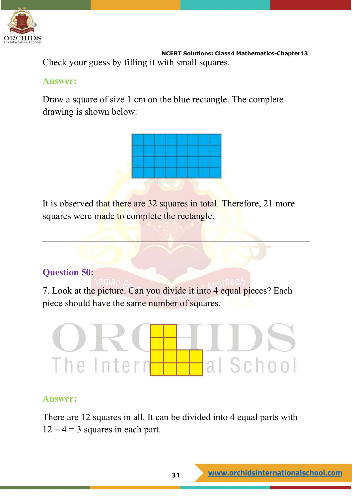

 **NCERT Solutions: Class4 Mathematics-Chapter13** Check your guess by filling it with small squares.

### **Answer:**

Draw a square of size 1 cm on the blue rectangle. The complete drawing is shown below:



It is observed that there are 32 squares in total. Therefore, 21 more squares were made to complete the rectangle.

### **Question 50:**

7. Look at the picture. Can you divide it into 4 equal pieces? Each piece should have the same number of squares.

# al School The Intern

### **Answer:**

There are 12 squares in all. It can be divided into 4 equal parts with  $12 \div 4 = 3$  squares in each part.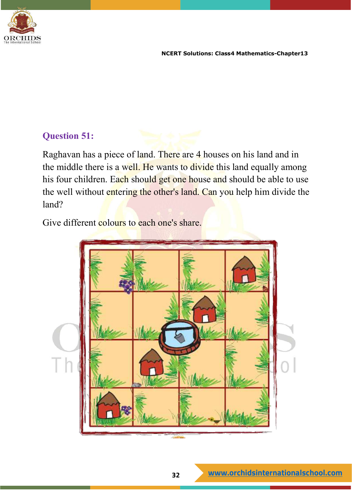

### **Question 51:**

Raghavan has a piece of land. There are 4 houses on his land and in the middle there is a well. He wants to divide this land equally among his four children. Each should get one house and should be able to use the well without entering the other's land. Can you help him divide the land?

Give different colours to each one's share.